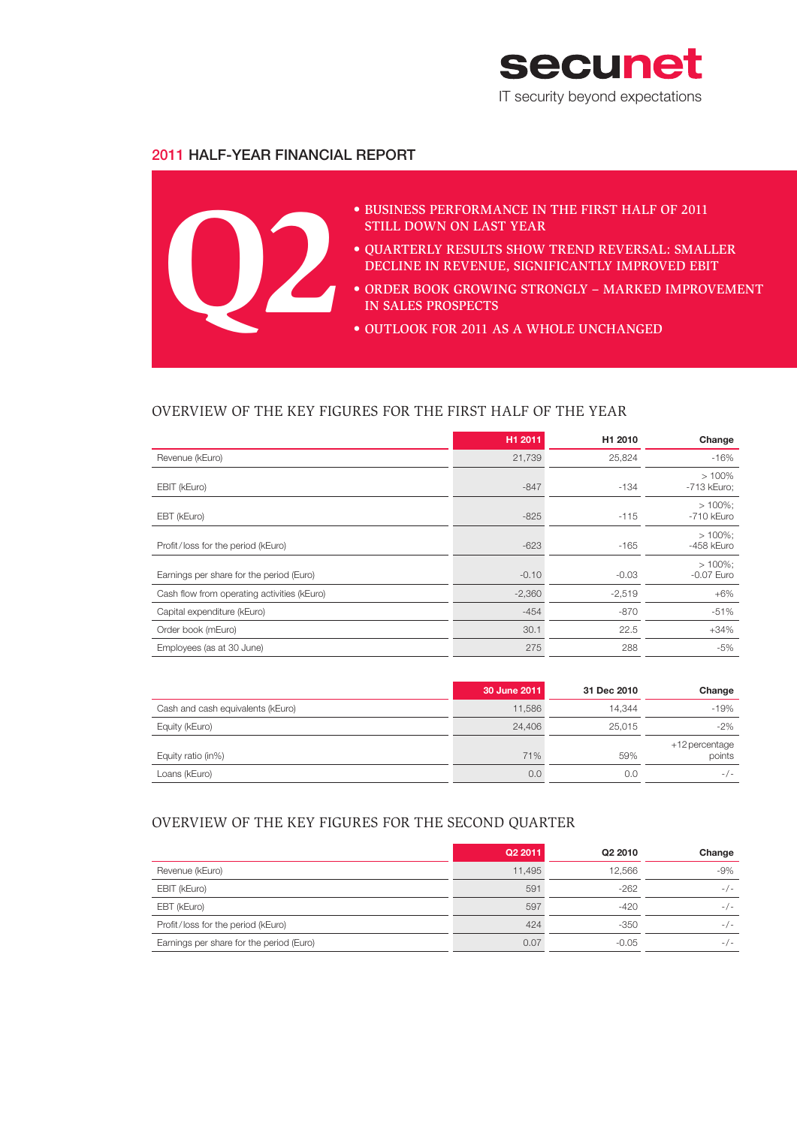

## 2011 HALF-YEAR FINANCIAL REPORT



## OVERVIEW OF THE KEY FIGURES FOR THE FIRST HALF OF THE YEAR

|                                             | H1 2011  | H1 2010  | Change                   |
|---------------------------------------------|----------|----------|--------------------------|
| Revenue (kEuro)                             | 21,739   | 25,824   | $-16%$                   |
| EBIT (kEuro)                                | $-847$   | $-134$   | $>100\%$<br>-713 kEuro;  |
| EBT (kEuro)                                 | $-825$   | $-115$   | $>100\%$<br>-710 kEuro   |
| Profit/loss for the period (kEuro)          | $-623$   | $-165$   | $>100\%$<br>-458 kEuro   |
| Earnings per share for the period (Euro)    | $-0.10$  | $-0.03$  | $>100\%$<br>$-0.07$ Euro |
| Cash flow from operating activities (kEuro) | $-2,360$ | $-2,519$ | $+6\%$                   |
| Capital expenditure (kEuro)                 | $-454$   | $-870$   | $-51%$                   |
| Order book (mEuro)                          | 30.1     | 22.5     | $+34%$                   |
| Employees (as at 30 June)                   | 275      | 288      | -5%                      |

|                                   | 30 June 2011 | 31 Dec 2010 | Change                   |
|-----------------------------------|--------------|-------------|--------------------------|
| Cash and cash equivalents (kEuro) | 11,586       | 14.344      | -19%                     |
| Equity (kEuro)                    | 24.406       | 25.015      | $-2\%$                   |
| Equity ratio (in%)                | 71%          | 59%         | +12 percentage<br>points |
| Loans (kEuro)                     | 0.0          | 0.0         | $-/-$                    |

## OVERVIEW OF THE KEY FIGURES FOR THE SECOND QUARTER

|                                          | Q2 2011 | Q2 2010 | Change |
|------------------------------------------|---------|---------|--------|
| Revenue (kEuro)                          | 11.495  | 12.566  | $-9%$  |
| EBIT (kEuro)                             | 591     | $-262$  | $-1-$  |
| EBT (kEuro)                              | 597     | $-420$  | $-/-$  |
| Profit/loss for the period (kEuro)       | 424     | $-350$  | $-/-$  |
| Earnings per share for the period (Euro) | 0.07    | $-0.05$ | $-1-$  |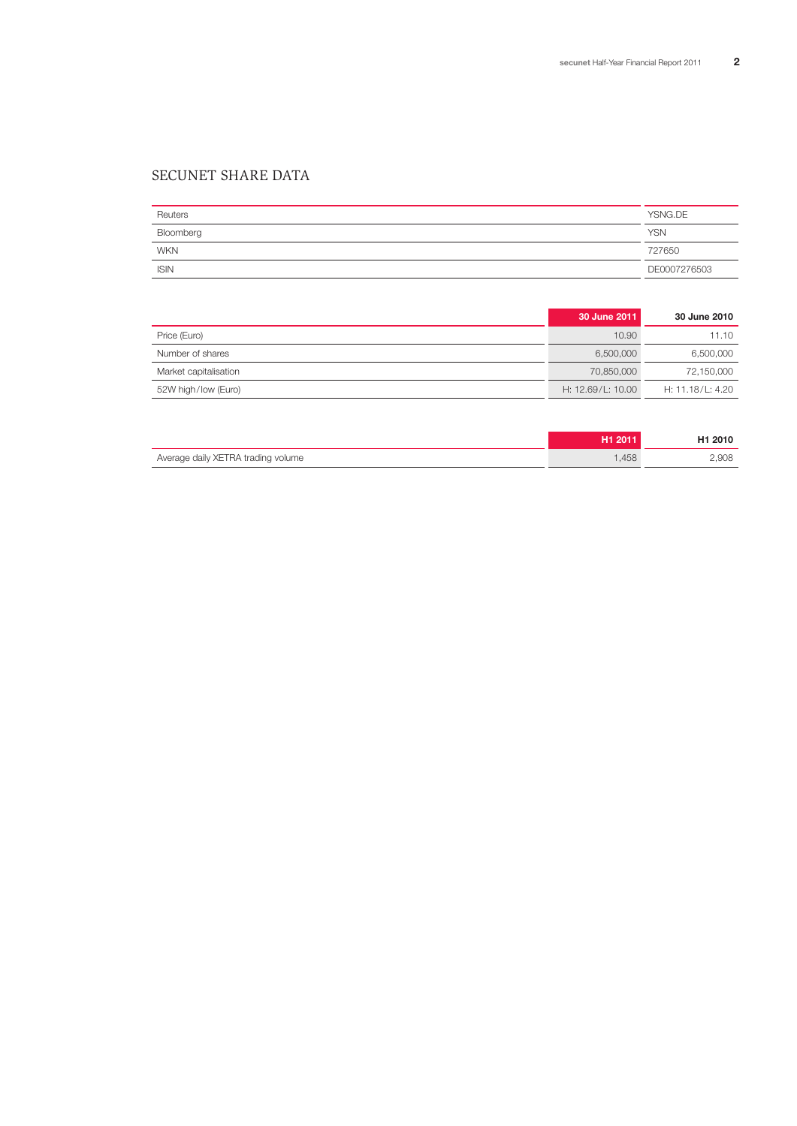## SECUNET SHARE DATA

| Reuters     | YSNG.DE      |
|-------------|--------------|
| Bloomberg   | <b>YSN</b>   |
| <b>WKN</b>  | 727650       |
| <b>ISIN</b> | DE0007276503 |

|                       | 30 June 2011      | <b>30 June 2010</b> |
|-----------------------|-------------------|---------------------|
| Price (Euro)          | 10.90             | 11.10               |
| Number of shares      | 6,500,000         | 6,500,000           |
| Market capitalisation | 70.850.000        | 72,150,000          |
| 52W high/low (Euro)   | H: 12.69/L: 10.00 | H: 11.18/L: 4.20    |

|                                    | H1 2011 | H <sub>1</sub> 2010 |
|------------------------------------|---------|---------------------|
| Average daily XETRA trading volume | .458    | 2.908               |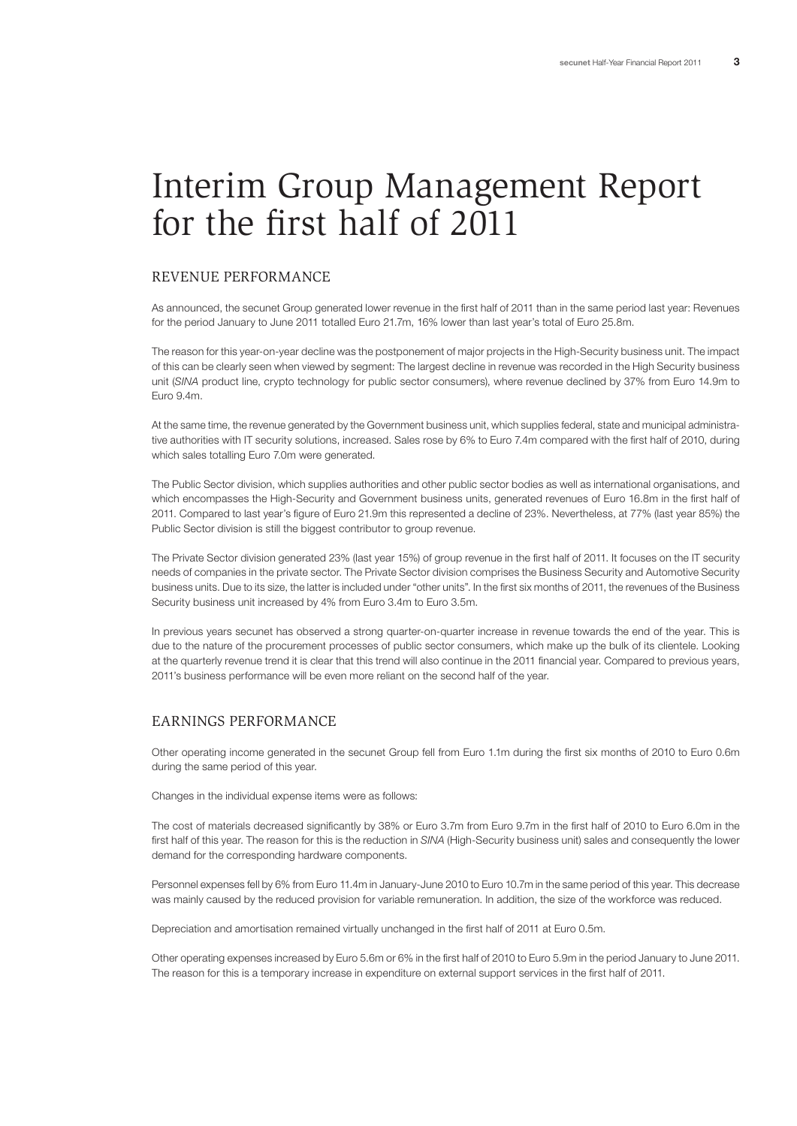## Interim Group Management Report for the first half of 2011

#### REVENUE PERFORMANCE

As announced, the secunet Group generated lower revenue in the first half of 2011 than in the same period last year: Revenues for the period January to June 2011 totalled Euro 21.7m, 16% lower than last year's total of Euro 25.8m.

The reason for this year-on-year decline was the postponement of major projects in the High-Security business unit. The impact of this can be clearly seen when viewed by segment: The largest decline in revenue was recorded in the High Security business unit (*SINA* product line, crypto technology for public sector consumers), where revenue declined by 37% from Euro 14.9m to Euro 9.4m.

At the same time, the revenue generated by the Government business unit, which supplies federal, state and municipal administrative authorities with IT security solutions, increased. Sales rose by 6% to Euro 7.4m compared with the first half of 2010, during which sales totalling Euro 7.0m were generated.

The Public Sector division, which supplies authorities and other public sector bodies as well as international organisations, and which encompasses the High-Security and Government business units, generated revenues of Euro 16.8m in the first half of 2011. Compared to last year's figure of Euro 21.9m this represented a decline of 23%. Nevertheless, at 77% (last year 85%) the Public Sector division is still the biggest contributor to group revenue.

The Private Sector division generated 23% (last year 15%) of group revenue in the first half of 2011. It focuses on the IT security needs of companies in the private sector. The Private Sector division comprises the Business Security and Automotive Security business units. Due to its size, the latter is included under "other units". In the first six months of 2011, the revenues of the Business Security business unit increased by 4% from Euro 3.4m to Euro 3.5m.

In previous years secunet has observed a strong quarter-on-quarter increase in revenue towards the end of the year. This is due to the nature of the procurement processes of public sector consumers, which make up the bulk of its clientele. Looking at the quarterly revenue trend it is clear that this trend will also continue in the 2011 financial year. Compared to previous years, 2011's business performance will be even more reliant on the second half of the year.

#### EARNINGS PERFORMANCE

Other operating income generated in the secunet Group fell from Euro 1.1m during the first six months of 2010 to Euro 0.6m during the same period of this year.

Changes in the individual expense items were as follows:

The cost of materials decreased significantly by 38% or Euro 3.7m from Euro 9.7m in the first half of 2010 to Euro 6.0m in the first half of this year. The reason for this is the reduction in *SINA* (High-Security business unit) sales and consequently the lower demand for the corresponding hardware components.

Personnel expenses fell by 6% from Euro 11.4m in January-June 2010 to Euro 10.7m in the same period of this year. This decrease was mainly caused by the reduced provision for variable remuneration. In addition, the size of the workforce was reduced.

Depreciation and amortisation remained virtually unchanged in the first half of 2011 at Euro 0.5m.

Other operating expenses increased by Euro 5.6m or 6% in the first half of 2010 to Euro 5.9m in the period January to June 2011. The reason for this is a temporary increase in expenditure on external support services in the first half of 2011.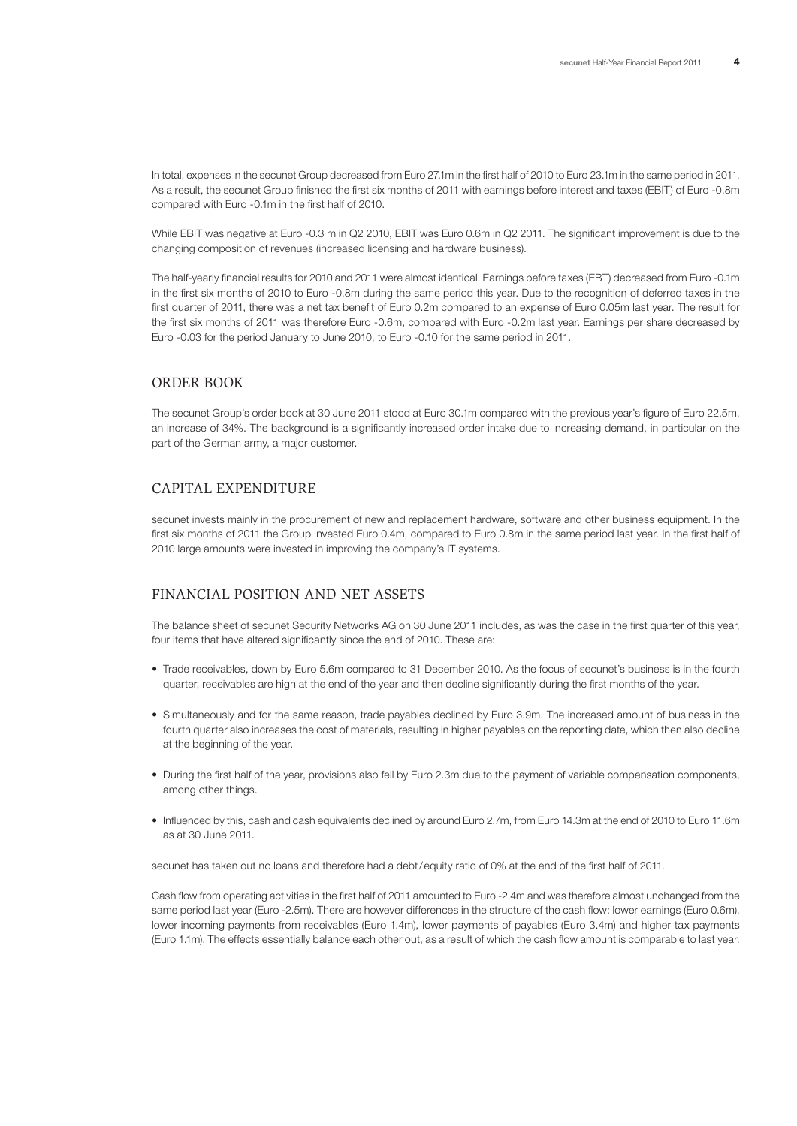In total, expenses in the secunet Group decreased from Euro 27.1m in the first half of 2010 to Euro 23.1m in the same period in 2011. As a result, the secunet Group finished the first six months of 2011 with earnings before interest and taxes (EBIT) of Euro -0.8m compared with Euro -0.1m in the first half of 2010.

While EBIT was negative at Euro -0.3 m in Q2 2010, EBIT was Euro 0.6m in Q2 2011. The significant improvement is due to the changing composition of revenues (increased licensing and hardware business).

The half-yearly financial results for 2010 and 2011 were almost identical. Earnings before taxes (EBT) decreased from Euro -0.1m in the first six months of 2010 to Euro -0.8m during the same period this year. Due to the recognition of deferred taxes in the first quarter of 2011, there was a net tax benefit of Euro 0.2m compared to an expense of Euro 0.05m last year. The result for the first six months of 2011 was therefore Euro -0.6m, compared with Euro -0.2m last year. Earnings per share decreased by Euro -0.03 for the period January to June 2010, to Euro -0.10 for the same period in 2011.

#### ORDER BOOK

The secunet Group's order book at 30 June 2011 stood at Euro 30.1m compared with the previous year's figure of Euro 22.5m, an increase of 34%. The background is a significantly increased order intake due to increasing demand, in particular on the part of the German army, a major customer.

#### CAPITAL EXPENDITURE

secunet invests mainly in the procurement of new and replacement hardware, software and other business equipment. In the first six months of 2011 the Group invested Euro 0.4m, compared to Euro 0.8m in the same period last year. In the first half of 2010 large amounts were invested in improving the company's IT systems.

### FINANCIAL POSITION AND NET ASSETS

The balance sheet of secunet Security Networks AG on 30 June 2011 includes, as was the case in the first quarter of this year, four items that have altered significantly since the end of 2010. These are:

- Trade receivables, down by Euro 5.6m compared to 31 December 2010. As the focus of secunet's business is in the fourth quarter, receivables are high at the end of the year and then decline significantly during the first months of the year.
- Simultaneously and for the same reason, trade payables declined by Euro 3.9m. The increased amount of business in the fourth quarter also increases the cost of materials, resulting in higher payables on the reporting date, which then also decline at the beginning of the year.
- During the first half of the year, provisions also fell by Euro 2.3m due to the payment of variable compensation components, among other things.
- Influenced by this, cash and cash equivalents declined by around Euro 2.7m, from Euro 14.3m at the end of 2010 to Euro 11.6m as at 30 June 2011.

secunet has taken out no loans and therefore had a debt/equity ratio of 0% at the end of the first half of 2011.

Cash flow from operating activities in the first half of 2011 amounted to Euro -2.4m and was therefore almost unchanged from the same period last year (Euro -2.5m). There are however differences in the structure of the cash flow: lower earnings (Euro 0.6m), lower incoming payments from receivables (Euro 1.4m), lower payments of payables (Euro 3.4m) and higher tax payments (Euro 1.1m). The effects essentially balance each other out, as a result of which the cash flow amount is comparable to last year.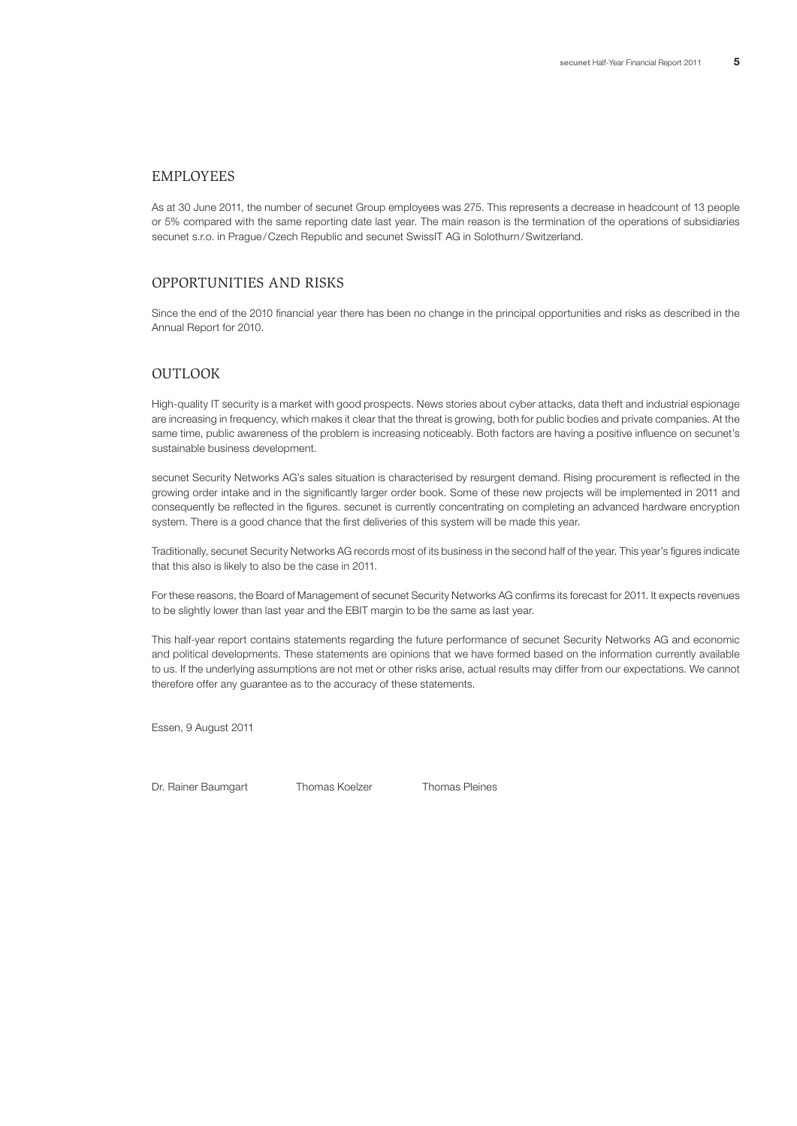#### EMPLOYEES

As at 30 June 2011, the number of secunet Group employees was 275. This represents a decrease in headcount of 13 people or 5% compared with the same reporting date last year. The main reason is the termination of the operations of subsidiaries secunet s.r.o. in Prague/Czech Republic and secunet SwissIT AG in Solothurn/Switzerland.

#### OPPORTUNITIES AND RISKS

Since the end of the 2010 financial year there has been no change in the principal opportunities and risks as described in the Annual Report for 2010.

## **OUTLOOK**

High-quality IT security is a market with good prospects. News stories about cyber attacks, data theft and industrial espionage are increasing in frequency, which makes it clear that the threat is growing, both for public bodies and private companies. At the same time, public awareness of the problem is increasing noticeably. Both factors are having a positive influence on secunet's sustainable business development.

secunet Security Networks AG's sales situation is characterised by resurgent demand. Rising procurement is reflected in the growing order intake and in the significantly larger order book. Some of these new projects will be implemented in 2011 and consequently be reflected in the figures. secunet is currently concentrating on completing an advanced hardware encryption system. There is a good chance that the first deliveries of this system will be made this year.

Traditionally, secunet Security Networks AG records most of its business in the second half of the year. This year's figures indicate that this also is likely to also be the case in 2011.

For these reasons, the Board of Management of secunet Security Networks AG confirms its forecast for 2011. It expects revenues to be slightly lower than last year and the EBIT margin to be the same as last year.

This half-year report contains statements regarding the future performance of secunet Security Networks AG and economic and political developments. These statements are opinions that we have formed based on the information currently available to us. If the underlying assumptions are not met or other risks arise, actual results may differ from our expectations. We cannot therefore offer any guarantee as to the accuracy of these statements.

Essen, 9 August 2011

Dr. Rainer Baumgart Thomas Koelzer Thomas Pleines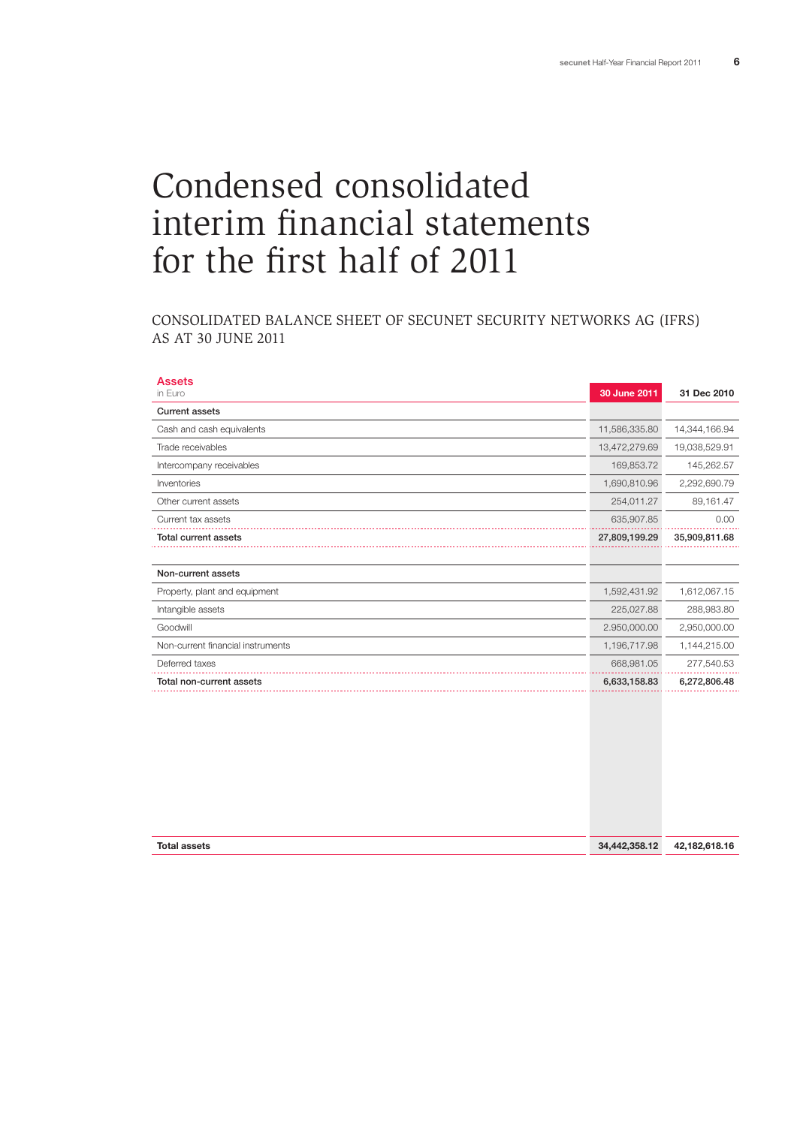# Condensed consolidated interim financial statements for the first half of 2011

## CONSOLIDATED BALANCE SHEET OF SECUNET SECURITY NETWORKS AG (IFRS) AS AT 30 JUNE 2011

| <b>Assets</b><br>in Euro          | 30 June 2011  | 31 Dec 2010   |
|-----------------------------------|---------------|---------------|
| <b>Current assets</b>             |               |               |
| Cash and cash equivalents         | 11,586,335.80 | 14,344,166.94 |
| Trade receivables                 | 13,472,279.69 | 19,038,529.91 |
| Intercompany receivables          | 169,853.72    | 145,262.57    |
| Inventories                       | 1,690,810.96  | 2,292,690.79  |
| Other current assets              | 254,011.27    | 89,161.47     |
| Current tax assets                | 635,907.85    | 0.00          |
| <b>Total current assets</b>       | 27,809,199.29 | 35,909,811.68 |
|                                   |               |               |
| Non-current assets                |               |               |
| Property, plant and equipment     | 1,592,431.92  | 1,612,067.15  |
| Intangible assets                 | 225,027.88    | 288,983.80    |
| Goodwill                          | 2.950,000.00  | 2,950,000.00  |
| Non-current financial instruments | 1,196,717.98  | 1,144,215.00  |
| Deferred taxes                    | 668,981.05    | 277,540.53    |
| Total non-current assets          | 6,633,158.83  | 6,272,806.48  |
|                                   |               |               |
| <b>Total assets</b>               | 34,442,358.12 | 42,182,618.16 |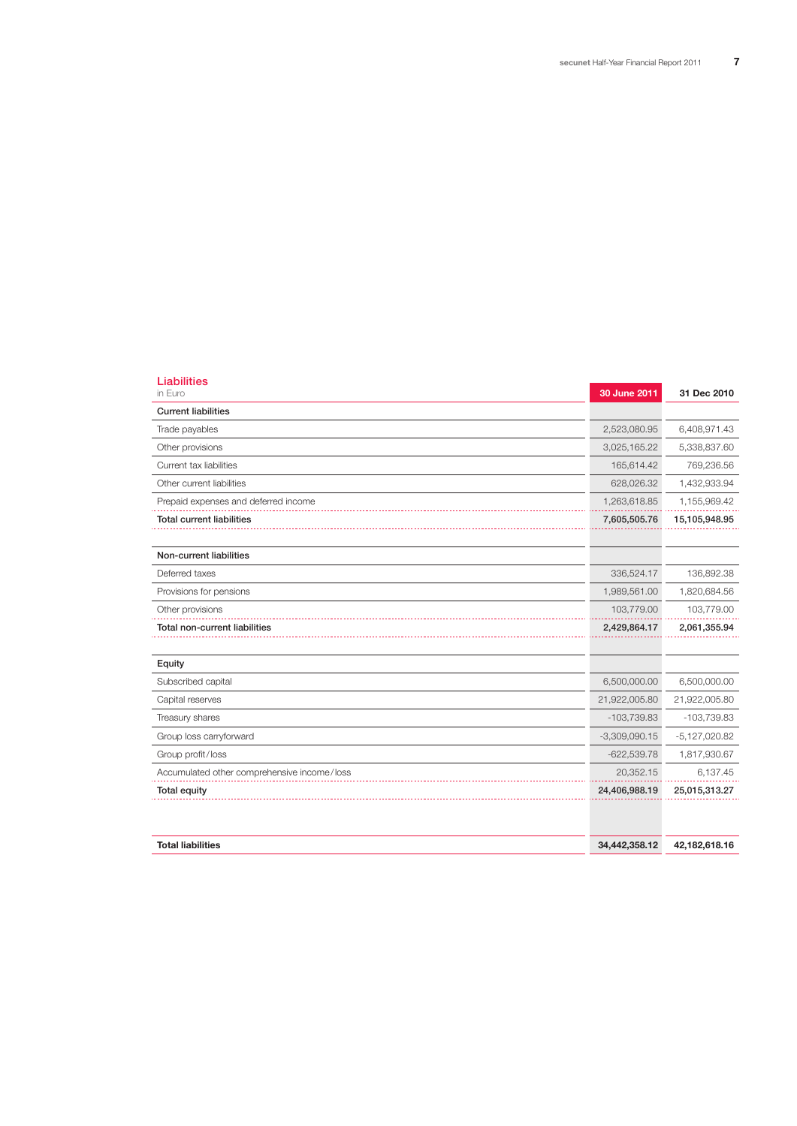| <b>Liabilities</b><br>in Euro               | 30 June 2011    | 31 Dec 2010       |
|---------------------------------------------|-----------------|-------------------|
| <b>Current liabilities</b>                  |                 |                   |
| Trade payables                              | 2,523,080.95    | 6,408,971.43      |
| Other provisions                            | 3,025,165.22    | 5,338,837.60      |
| Current tax liabilities                     | 165,614.42      | 769,236.56        |
| Other current liabilities                   | 628,026.32      | 1,432,933.94      |
| Prepaid expenses and deferred income        | 1,263,618.85    | 1,155,969.42      |
| <b>Total current liabilities</b>            | 7,605,505.76    | 15,105,948.95     |
|                                             |                 |                   |
| Non-current liabilities                     |                 |                   |
| Deferred taxes                              | 336,524.17      | 136,892.38        |
| Provisions for pensions                     | 1,989,561.00    | 1,820,684.56      |
| Other provisions                            | 103,779.00      | 103,779.00        |
| Total non-current liabilities               | 2,429,864.17    | 2,061,355.94      |
|                                             |                 |                   |
| Equity                                      |                 |                   |
| Subscribed capital                          | 6,500,000.00    | 6,500,000.00      |
| Capital reserves                            | 21,922,005.80   | 21,922,005.80     |
| Treasury shares                             | $-103,739.83$   | $-103,739.83$     |
| Group loss carryforward                     | $-3,309,090.15$ | $-5, 127, 020.82$ |
| Group profit/loss                           | $-622,539.78$   | 1,817,930.67      |
| Accumulated other comprehensive income/loss | 20,352.15       | 6,137.45          |
| Total equity                                | 24,406,988.19   | 25,015,313.27     |
|                                             |                 |                   |
| <b>Total liabilities</b>                    | 34,442,358.12   | 42,182,618.16     |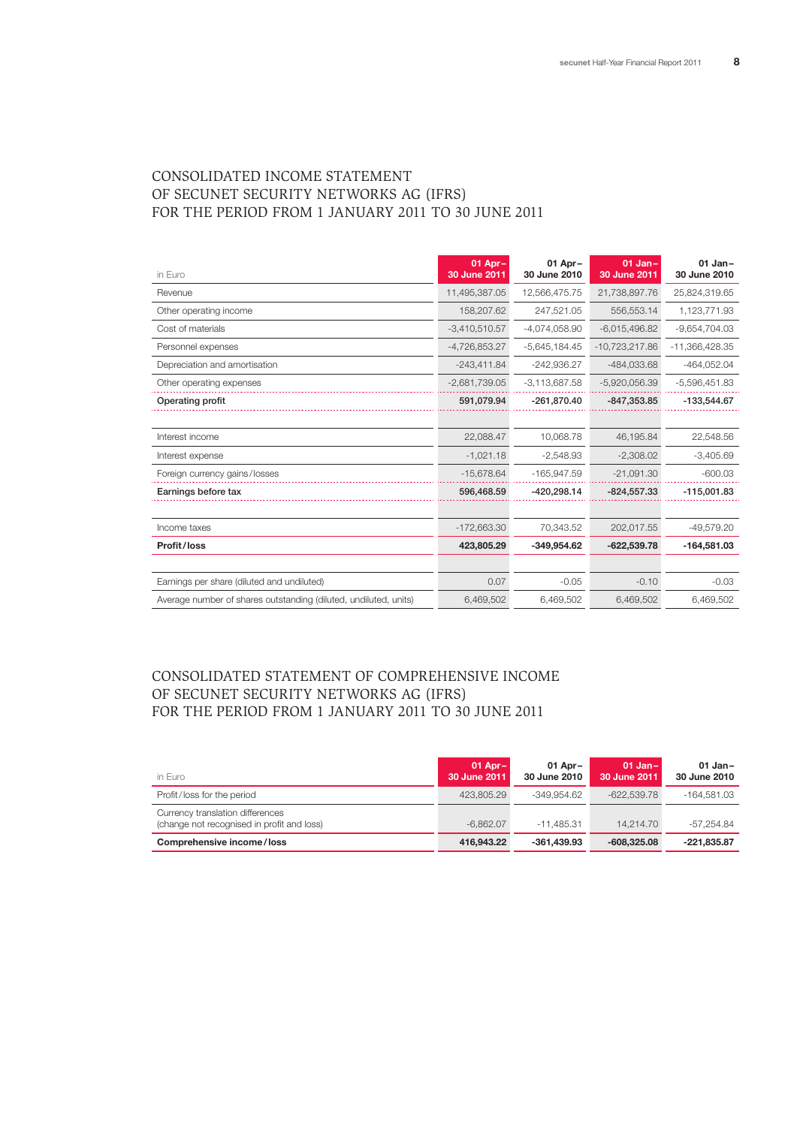## CONSOLIDATED INCOME STATEMENT OF SECUNET SECURITY NETWORKS AG (IFRS) FOR THE PERIOD FROM 1 JANUARY 2011 TO 30 JUNE 2011

| in Euro                                                          | $01$ Apr $-$<br>30 June 2011 | 01 Apr-<br>30 June 2010 | $01$ Jan-<br>30 June 2011 | $01$ Jan-<br>30 June 2010 |
|------------------------------------------------------------------|------------------------------|-------------------------|---------------------------|---------------------------|
| Revenue                                                          | 11,495,387.05                | 12,566,475.75           | 21,738,897.76             | 25,824,319.65             |
| Other operating income                                           | 158,207.62                   | 247.521.05              | 556.553.14                | 1,123,771.93              |
| Cost of materials                                                | $-3,410,510.57$              | $-4,074,058.90$         | $-6,015,496.82$           | $-9,654,704.03$           |
| Personnel expenses                                               | $-4,726,853.27$              | $-5,645,184.45$         | $-10,723,217.86$          | -11,366,428.35            |
| Depreciation and amortisation                                    | $-243,411.84$                | $-242,936.27$           | $-484,033.68$             | $-464,052.04$             |
| Other operating expenses                                         | $-2,681,739.05$              | $-3.113.687.58$         | $-5,920,056.39$           | $-5,596,451.83$           |
| Operating profit                                                 | 591,079.94                   | $-261,870.40$           | $-847,353.85$             | $-133,544.67$             |
|                                                                  |                              |                         |                           |                           |
| Interest income                                                  | 22,088.47                    | 10,068.78               | 46,195.84                 | 22,548.56                 |
| Interest expense                                                 | $-1,021.18$                  | $-2,548.93$             | $-2.308.02$               | $-3,405.69$               |
| Foreign currency gains/losses                                    | $-15,678.64$                 | $-165,947.59$           | $-21,091.30$              | $-600.03$                 |
| Earnings before tax                                              | 596,468.59                   | $-420,298.14$           | $-824,557.33$             | $-115,001.83$             |
|                                                                  |                              |                         |                           |                           |
| Income taxes                                                     | $-172,663.30$                | 70.343.52               | 202.017.55                | $-49.579.20$              |
| Profit/loss                                                      | 423,805.29                   | $-349.954.62$           | $-622.539.78$             | $-164.581.03$             |
|                                                                  |                              |                         |                           |                           |
| Earnings per share (diluted and undiluted)                       | 0.07                         | $-0.05$                 | $-0.10$                   | $-0.03$                   |
| Average number of shares outstanding (diluted, undiluted, units) | 6,469,502                    | 6,469,502               | 6,469,502                 | 6,469,502                 |

## CONSOLIDATED STATEMENT OF COMPREHENSIVE INCOME OF SECUNET SECURITY NETWORKS AG (IFRS) FOR THE PERIOD FROM 1 JANUARY 2011 TO 30 JUNE 2011

| in Euro                                                                        | $01$ Apr $-$<br>30 June 2011 | 01 Apr $-$<br>30 June 2010 | $01$ Jan-<br>30 June 2011 | $01$ Jan-<br>30 June 2010 |
|--------------------------------------------------------------------------------|------------------------------|----------------------------|---------------------------|---------------------------|
| Profit/loss for the period                                                     | 423.805.29                   | $-349.954.62$              | $-622.539.78$             | -164.581.03               |
| Currency translation differences<br>(change not recognised in profit and loss) | $-6.862.07$                  | $-11.485.31$               | 14.214.70                 | -57.254.84                |
| Comprehensive income/loss                                                      | 416,943,22                   | $-361.439.93$              | $-608,325.08$             | $-221.835.87$             |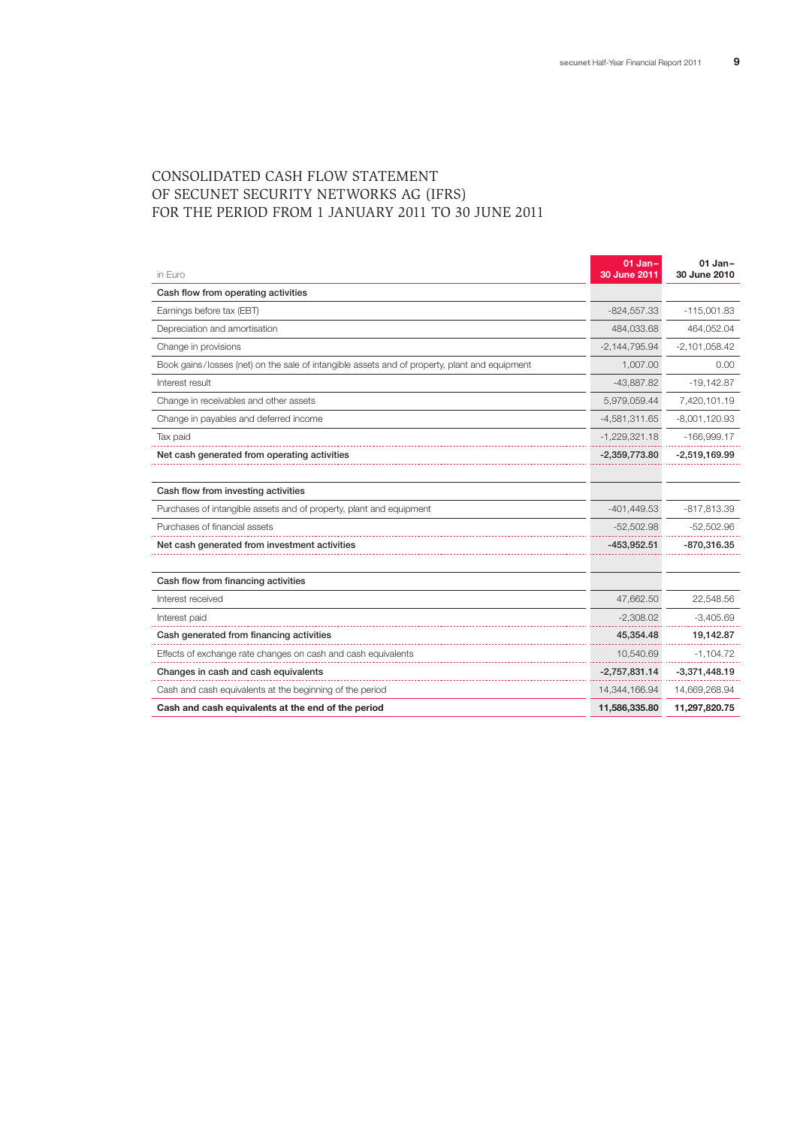## CONSOLIDATED CASH FLOW STATEMENT OF SECUNET SECURITY NETWORKS AG (IFRS) FOR THE PERIOD FROM 1 JANUARY 2011 TO 30 JUNE 2011

| in Euro                                                                                       | $01$ Jan-<br>30 June 2011 | $01$ Jan-<br>30 June 2010 |
|-----------------------------------------------------------------------------------------------|---------------------------|---------------------------|
| Cash flow from operating activities                                                           |                           |                           |
| Earnings before tax (EBT)                                                                     | $-824,557.33$             | $-115,001.83$             |
| Depreciation and amortisation                                                                 | 484,033.68                | 464,052.04                |
| Change in provisions                                                                          | $-2,144,795.94$           | $-2,101,058.42$           |
| Book gains/losses (net) on the sale of intangible assets and of property, plant and equipment | 1,007.00                  | 0.00                      |
| Interest result                                                                               | $-43,887.82$              | $-19,142.87$              |
| Change in receivables and other assets                                                        | 5,979,059.44              | 7,420,101.19              |
| Change in payables and deferred income                                                        | $-4,581,311.65$           | $-8,001,120.93$           |
| Tax paid                                                                                      | $-1,229,321.18$           | $-166,999.17$             |
| Net cash generated from operating activities                                                  | $-2,359,773.80$           | $-2,519,169.99$           |
|                                                                                               |                           |                           |
| Cash flow from investing activities                                                           |                           |                           |
| Purchases of intangible assets and of property, plant and equipment                           | $-401, 449.53$            | -817,813.39               |
| Purchases of financial assets                                                                 | $-52,502.98$              | $-52,502.96$              |
| Net cash generated from investment activities                                                 | $-453,952.51$             | $-870,316.35$             |
|                                                                                               |                           |                           |
| Cash flow from financing activities                                                           |                           |                           |
| Interest received                                                                             | 47,662.50                 | 22,548.56                 |
| Interest paid                                                                                 | $-2,308.02$               | $-3,405.69$               |
| Cash generated from financing activities                                                      | 45,354.48                 | 19,142.87                 |
| Effects of exchange rate changes on cash and cash equivalents                                 | 10,540.69                 | $-1,104.72$               |
| Changes in cash and cash equivalents                                                          | $-2,757,831.14$           | $-3,371,448.19$           |
| Cash and cash equivalents at the beginning of the period                                      | 14,344,166.94             | 14,669,268.94             |
| Cash and cash equivalents at the end of the period                                            | 11,586,335.80             | 11,297,820.75             |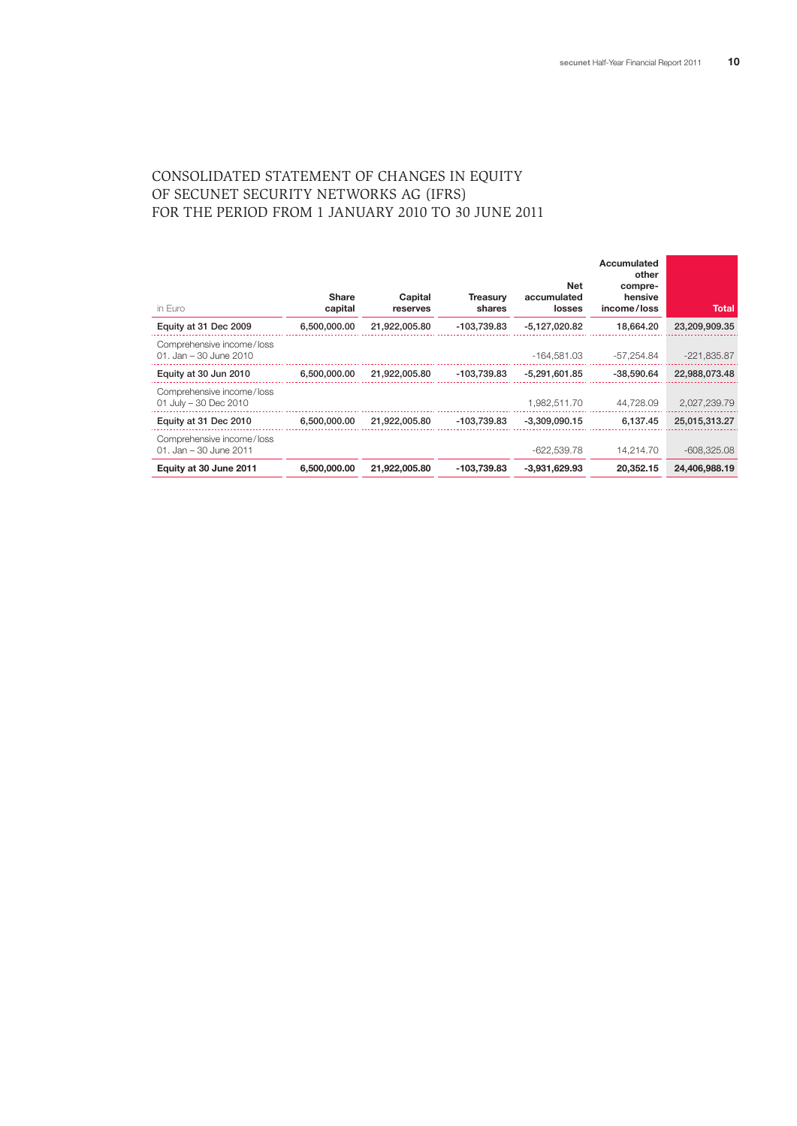## CONSOLIDATED STATEMENT OF CHANGES IN EQUITY OF SECUNET SECURITY NETWORKS AG (IFRS) FOR THE PERIOD FROM 1 JANUARY 2010 TO 30 JUNE 2011

| in Euro                                               | <b>Share</b><br>capital | Capital<br>reserves | <b>Treasurv</b><br>shares | Net<br>accumulated<br>losses | Accumulated<br>other<br>compre-<br>hensive<br>income/loss | Total         |
|-------------------------------------------------------|-------------------------|---------------------|---------------------------|------------------------------|-----------------------------------------------------------|---------------|
| Equity at 31 Dec 2009                                 | 6,500,000.00            | 21,922,005.80       | -103,739.83               | -5.127.020.82                | 18.664.20                                                 | 23,209,909.35 |
| Comprehensive income/loss<br>$01.$ Jan – 30 June 2010 |                         |                     |                           | -164.581.03                  | -57.254.84                                                | $-221,835.87$ |
| Equity at 30 Jun 2010                                 | 6.500.000.00            | 21.922.005.80       | -103.739.83               | -5.291.601.85                | -38.590.64                                                | 22.988.073.48 |
| Comprehensive income/loss<br>01 July $-30$ Dec 2010   |                         |                     |                           | 1,982,511.70                 | 44,728.09                                                 | 2,027,239.79  |
| Equity at 31 Dec 2010                                 | 6.500.000.00            | 21.922.005.80       | -103.739.83               | $-3.309.090.15$              | 6.137.45                                                  | 25,015,313.27 |
| Comprehensive income/loss<br>01. Jan - 30 June 2011   |                         |                     |                           | $-622.539.78$                | 14.214.70                                                 | $-608.325.08$ |
| Equity at 30 June 2011                                | 6,500,000,00            | 21,922,005.80       | -103.739.83               | $-3.931.629.93$              | 20.352.15                                                 | 24,406,988.19 |
|                                                       |                         |                     |                           |                              |                                                           |               |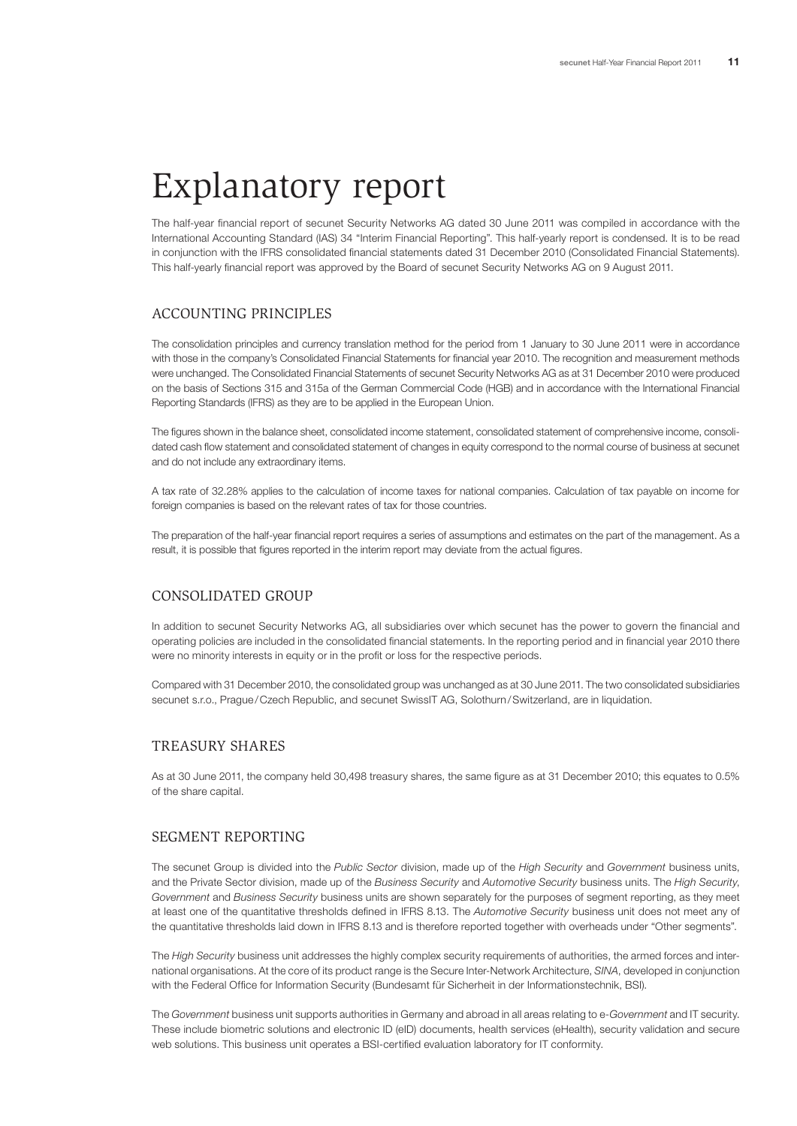# Explanatory report

The half-year financial report of secunet Security Networks AG dated 30 June 2011 was compiled in accordance with the International Accounting Standard (IAS) 34 "Interim Financial Reporting". This half-yearly report is condensed. It is to be read in conjunction with the IFRS consolidated financial statements dated 31 December 2010 (Consolidated Financial Statements). This half-yearly financial report was approved by the Board of secunet Security Networks AG on 9 August 2011.

### ACCOUNTING PRINCIPLES

The consolidation principles and currency translation method for the period from 1 January to 30 June 2011 were in accordance with those in the company's Consolidated Financial Statements for financial year 2010. The recognition and measurement methods were unchanged. The Consolidated Financial Statements of secunet Security Networks AG as at 31 December 2010 were produced on the basis of Sections 315 and 315a of the German Commercial Code (HGB) and in accordance with the International Financial Reporting Standards (IFRS) as they are to be applied in the European Union.

The figures shown in the balance sheet, consolidated income statement, consolidated statement of comprehensive income, consolidated cash flow statement and consolidated statement of changes in equity correspond to the normal course of business at secunet and do not include any extraordinary items.

A tax rate of 32.28% applies to the calculation of income taxes for national companies. Calculation of tax payable on income for foreign companies is based on the relevant rates of tax for those countries.

The preparation of the half-year financial report requires a series of assumptions and estimates on the part of the management. As a result, it is possible that figures reported in the interim report may deviate from the actual figures.

### CONSOLIDATED GROUP

In addition to secunet Security Networks AG, all subsidiaries over which secunet has the power to govern the financial and operating policies are included in the consolidated financial statements. In the reporting period and in financial year 2010 there were no minority interests in equity or in the profit or loss for the respective periods.

Compared with 31 December 2010, the consolidated group was unchanged as at 30 June 2011. The two consolidated subsidiaries secunet s.r.o., Prague/Czech Republic, and secunet SwissIT AG, Solothurn/Switzerland, are in liquidation.

#### TREASURY SHARES

As at 30 June 2011, the company held 30,498 treasury shares, the same figure as at 31 December 2010; this equates to 0.5% of the share capital.

#### SEGMENT REPORTING

The secunet Group is divided into the *Public Sector* division, made up of the *High Security* and *Government* business units, and the Private Sector division, made up of the *Business Security* and *Automotive Security* business units. The *High Security*, *Government* and *Business Security* business units are shown separately for the purposes of segment reporting, as they meet at least one of the quantitative thresholds defined in IFRS 8.13. The *Automotive Security* business unit does not meet any of the quantitative thresholds laid down in IFRS 8.13 and is therefore reported together with overheads under "Other segments".

The *High Security* business unit addresses the highly complex security requirements of authorities, the armed forces and international organisations. At the core of its product range is the Secure Inter-Network Architecture, *SINA*, developed in conjunction with the Federal Office for Information Security (Bundesamt für Sicherheit in der Informationstechnik, BSI).

The *Government* business unit supports authorities in Germany and abroad in all areas relating to e-*Government* and IT security. These include biometric solutions and electronic ID (eID) documents, health services (eHealth), security validation and secure web solutions. This business unit operates a BSI-certified evaluation laboratory for IT conformity.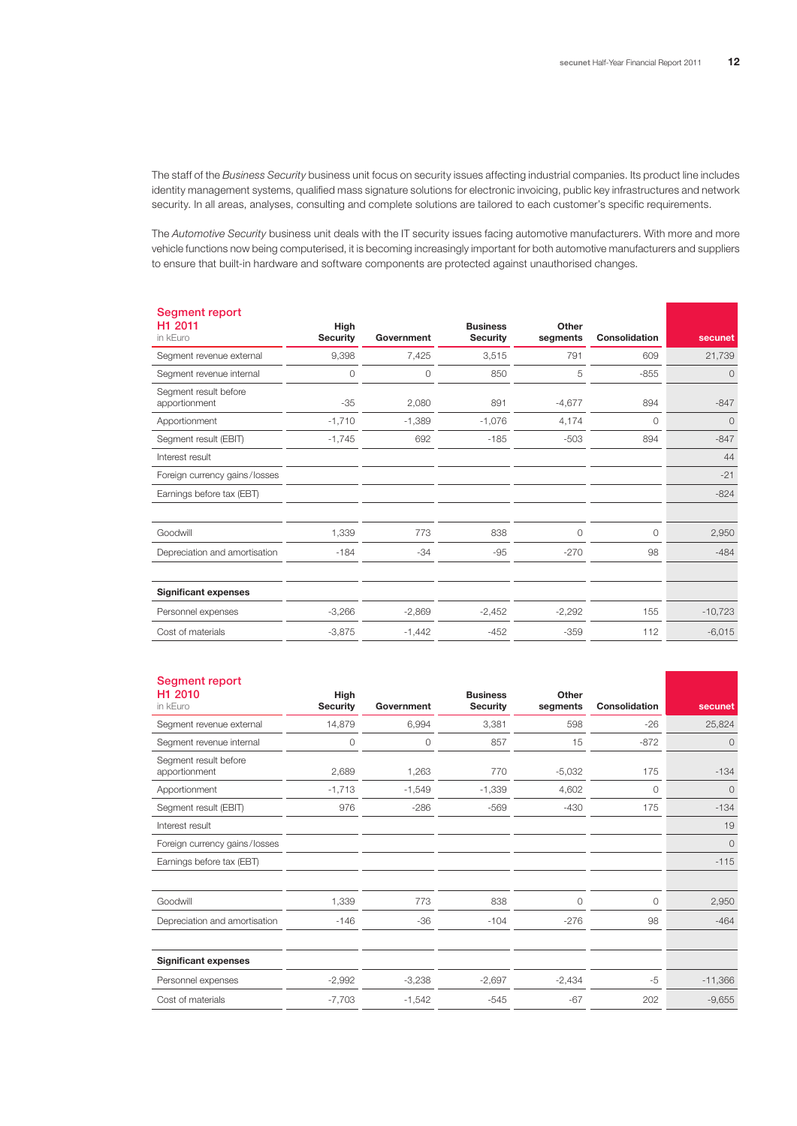The staff of the *Business Security* business unit focus on security issues affecting industrial companies. Its product line includes identity management systems, qualified mass signature solutions for electronic invoicing, public key infrastructures and network security. In all areas, analyses, consulting and complete solutions are tailored to each customer's specific requirements.

The *Automotive Security* business unit deals with the IT security issues facing automotive manufacturers. With more and more vehicle functions now being computerised, it is becoming increasingly important for both automotive manufacturers and suppliers to ensure that built-in hardware and software components are protected against unauthorised changes.

| Segment report<br>H1 2011<br>in kEuro  | High<br><b>Security</b> | Government | <b>Business</b><br><b>Security</b> | Other<br>segments | <b>Consolidation</b> | secunet   |
|----------------------------------------|-------------------------|------------|------------------------------------|-------------------|----------------------|-----------|
| Segment revenue external               | 9,398                   | 7,425      | 3,515                              | 791               | 609                  | 21,739    |
| Segment revenue internal               | 0                       | 0          | 850                                | 5                 | $-855$               | $\circ$   |
| Segment result before<br>apportionment | $-35$                   | 2,080      | 891                                | $-4,677$          | 894                  | $-847$    |
| Apportionment                          | $-1,710$                | $-1,389$   | $-1,076$                           | 4,174             | 0                    | 0         |
| Segment result (EBIT)                  | $-1,745$                | 692        | $-185$                             | $-503$            | 894                  | $-847$    |
| Interest result                        |                         |            |                                    |                   |                      | 44        |
| Foreign currency gains/losses          |                         |            |                                    |                   |                      | $-21$     |
| Earnings before tax (EBT)              |                         |            |                                    |                   |                      | $-824$    |
| Goodwill                               | 1,339                   | 773        | 838                                | 0                 | $\circ$              | 2,950     |
| Depreciation and amortisation          | $-184$                  | $-34$      | -95                                | $-270$            | 98                   | $-484$    |
| <b>Significant expenses</b>            |                         |            |                                    |                   |                      |           |
| Personnel expenses                     | $-3,266$                | $-2,869$   | $-2,452$                           | $-2,292$          | 155                  | $-10,723$ |
| Cost of materials                      | $-3,875$                | $-1,442$   | $-452$                             | $-359$            | 112                  | $-6,015$  |
|                                        |                         |            |                                    |                   |                      |           |

| Segment report |  |  |
|----------------|--|--|
|                |  |  |

| H <sub>1</sub> 2010<br>in kEuro        | High<br><b>Security</b> | Government | <b>Business</b><br><b>Security</b> | Other<br>segments | <b>Consolidation</b> | secunet   |
|----------------------------------------|-------------------------|------------|------------------------------------|-------------------|----------------------|-----------|
| Segment revenue external               | 14,879                  | 6,994      | 3,381                              | 598               | $-26$                | 25,824    |
| Segment revenue internal               | 0                       | 0          | 857                                | 15                | $-872$               | $\circ$   |
| Segment result before<br>apportionment | 2,689                   | 1,263      | 770                                | $-5,032$          | 175                  | $-134$    |
| Apportionment                          | $-1,713$                | $-1,549$   | $-1,339$                           | 4,602             | 0                    | $\circ$   |
| Segment result (EBIT)                  | 976                     | $-286$     | $-569$                             | $-430$            | 175                  | $-134$    |
| Interest result                        |                         |            |                                    |                   |                      | 19        |
| Foreign currency gains/losses          |                         |            |                                    |                   |                      | $\circ$   |
| Earnings before tax (EBT)              |                         |            |                                    |                   |                      | $-115$    |
|                                        |                         |            |                                    |                   |                      |           |
| Goodwill                               | 1,339                   | 773        | 838                                | 0                 | $\circ$              | 2,950     |
| Depreciation and amortisation          | $-146$                  | -36        | $-104$                             | $-276$            | 98                   | $-464$    |
|                                        |                         |            |                                    |                   |                      |           |
| <b>Significant expenses</b>            |                         |            |                                    |                   |                      |           |
| Personnel expenses                     | $-2,992$                | $-3,238$   | $-2,697$                           | $-2,434$          | $-5$                 | $-11,366$ |
| Cost of materials                      | $-7,703$                | $-1,542$   | $-545$                             | $-67$             | 202                  | $-9,655$  |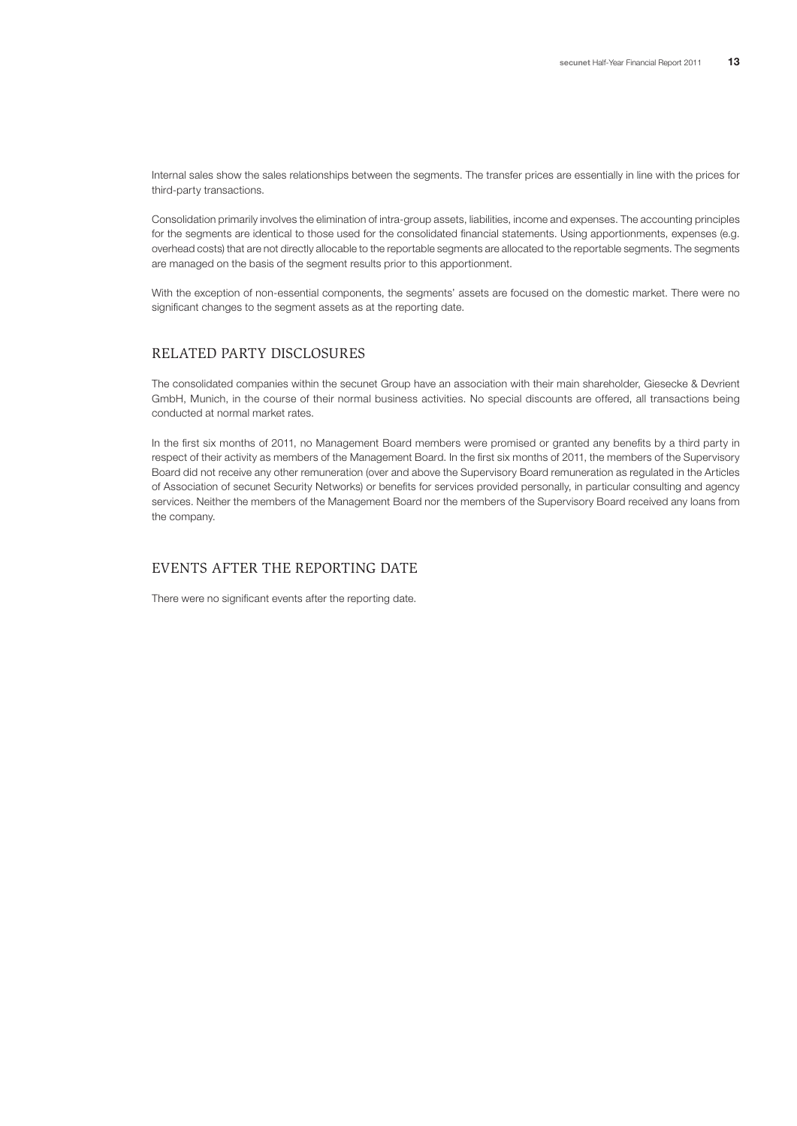Internal sales show the sales relationships between the segments. The transfer prices are essentially in line with the prices for third-party transactions.

Consolidation primarily involves the elimination of intra-group assets, liabilities, income and expenses. The accounting principles for the segments are identical to those used for the consolidated financial statements. Using apportionments, expenses (e.g. overhead costs) that are not directly allocable to the reportable segments are allocated to the reportable segments. The segments are managed on the basis of the segment results prior to this apportionment.

With the exception of non-essential components, the segments' assets are focused on the domestic market. There were no significant changes to the segment assets as at the reporting date.

### RELATED PARTY DISCLOSURES

The consolidated companies within the secunet Group have an association with their main shareholder, Giesecke & Devrient GmbH, Munich, in the course of their normal business activities. No special discounts are offered, all transactions being conducted at normal market rates.

In the first six months of 2011, no Management Board members were promised or granted any benefits by a third party in respect of their activity as members of the Management Board. In the first six months of 2011, the members of the Supervisory Board did not receive any other remuneration (over and above the Supervisory Board remuneration as regulated in the Articles of Association of secunet Security Networks) or benefits for services provided personally, in particular consulting and agency services. Neither the members of the Management Board nor the members of the Supervisory Board received any loans from the company.

## EVENTS AFTER THE REPORTING DATE

There were no significant events after the reporting date.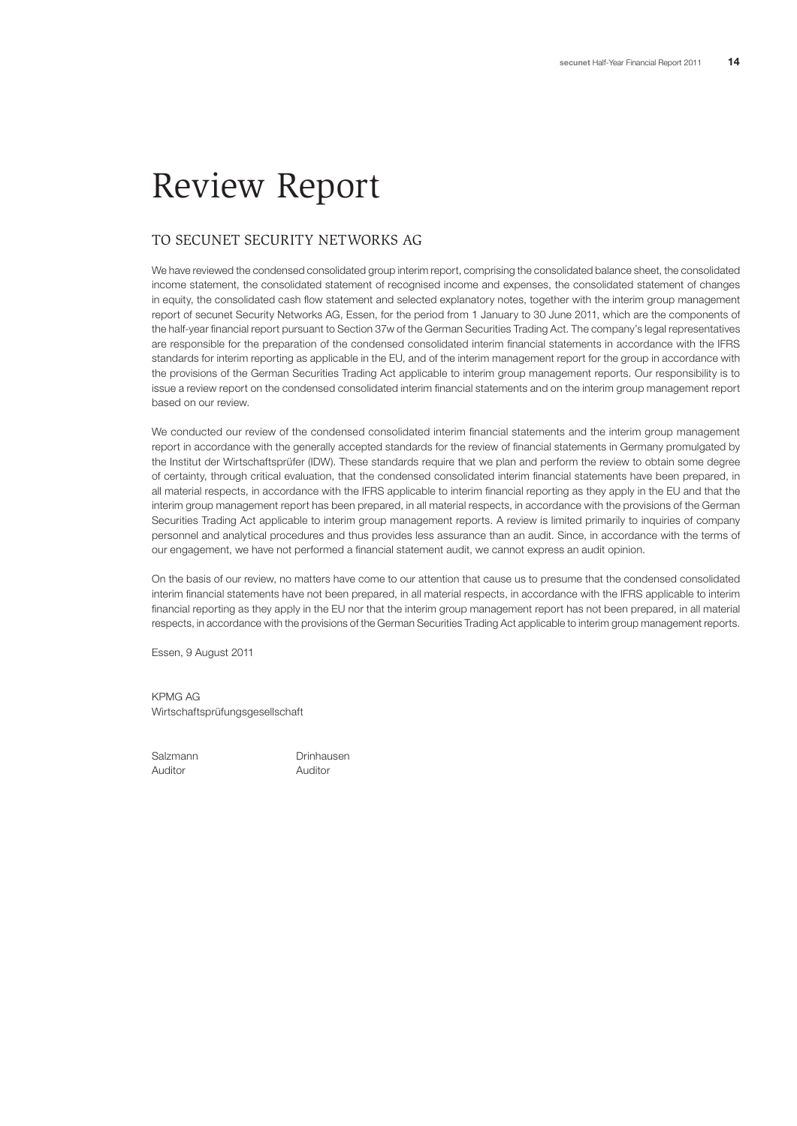# Review Report

## TO SECUNET SECURITY NETWORKS AG

We have reviewed the condensed consolidated group interim report, comprising the consolidated balance sheet, the consolidated income statement, the consolidated statement of recognised income and expenses, the consolidated statement of changes in equity, the consolidated cash flow statement and selected explanatory notes, together with the interim group management report of secunet Security Networks AG, Essen, for the period from 1 January to 30 June 2011, which are the components of the half-year financial report pursuant to Section 37w of the German Securities Trading Act. The company's legal representatives are responsible for the preparation of the condensed consolidated interim financial statements in accordance with the IFRS standards for interim reporting as applicable in the EU, and of the interim management report for the group in accordance with the provisions of the German Securities Trading Act applicable to interim group management reports. Our responsibility is to issue a review report on the condensed consolidated interim financial statements and on the interim group management report based on our review.

We conducted our review of the condensed consolidated interim financial statements and the interim group management report in accordance with the generally accepted standards for the review of financial statements in Germany promulgated by the Institut der Wirtschaftsprüfer (IDW). These standards require that we plan and perform the review to obtain some degree of certainty, through critical evaluation, that the condensed consolidated interim financial statements have been prepared, in all material respects, in accordance with the IFRS applicable to interim financial reporting as they apply in the EU and that the interim group management report has been prepared, in all material respects, in accordance with the provisions of the German Securities Trading Act applicable to interim group management reports. A review is limited primarily to inquiries of company personnel and analytical procedures and thus provides less assurance than an audit. Since, in accordance with the terms of our engagement, we have not performed a financial statement audit, we cannot express an audit opinion.

On the basis of our review, no matters have come to our attention that cause us to presume that the condensed consolidated interim financial statements have not been prepared, in all material respects, in accordance with the IFRS applicable to interim financial reporting as they apply in the EU nor that the interim group management report has not been prepared, in all material respects, in accordance with the provisions of the German Securities Trading Act applicable to interim group management reports.

Essen, 9 August 2011

KPMG AG Wirtschaftsprüfungsgesellschaft

Auditor Auditor

Salzmann Drinhausen